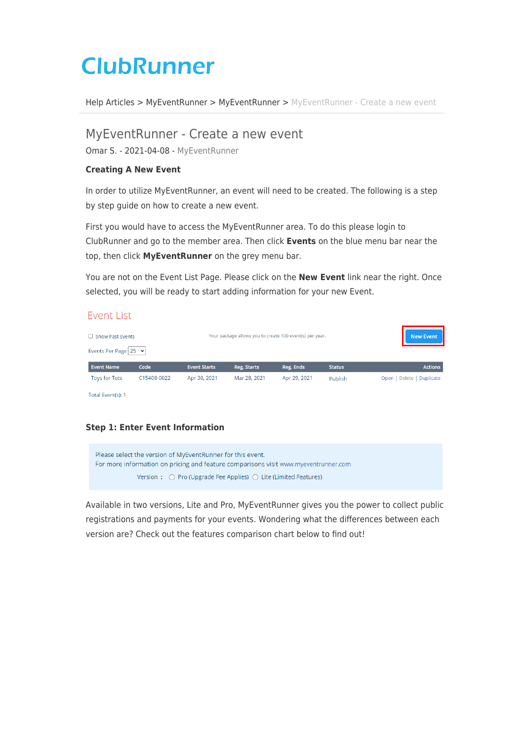# **ClubRunner**

[Help Articles](https://www.clubrunnersupport.com/kb) > [MyEventRunner](https://www.clubrunnersupport.com/kb/myeventrunner) > [MyEventRunner](https://www.clubrunnersupport.com/kb/myeventrunner-2) > [MyEventRunner - Create a new event](https://www.clubrunnersupport.com/kb/articles/myeventrunner-create-a-new-event)

## MyEventRunner - Create a new event

Omar S. - 2021-04-08 - [MyEventRunner](https://www.clubrunnersupport.com/kb/myeventrunner-2)

#### **Creating A New Event**

In order to utilize MyEventRunner, an event will need to be created. The following is a step by step guide on how to create a new event.

First you would have to access the MyEventRunner area. To do this please login to ClubRunner and go to the member area. Then click **Events** on the blue menu bar near the top, then click **MyEventRunner** on the grey menu bar.

You are not on the Event List Page. Please click on the **New Event** link near the right. Once selected, you will be ready to start adding information for your new Event.

## **Fvent List**

| Show Past Events<br>Events Per Page $ 25 \times$ |             |                     | Your package allows you to create 100 event(s) per year. | New Event    |               |                            |
|--------------------------------------------------|-------------|---------------------|----------------------------------------------------------|--------------|---------------|----------------------------|
| <b>Event Name</b>                                | Code        | <b>Event Starts</b> | Reg. Starts                                              | Reg. Ends    | <b>Status</b> | <b>Actions</b>             |
| <b>Toys for Tots</b>                             | C15408-0022 | Apr 30, 2021        | Mar 28, 2021                                             | Apr 29, 2021 | Publish       | Delete   Duplicate<br>Open |

Total Event(s): 1

## **Step 1: Enter Event Information**



Available in two versions, Lite and Pro, MyEventRunner gives you the power to collect public registrations and payments for your events. Wondering what the differences between each version are? Check out the features comparison chart below to find out!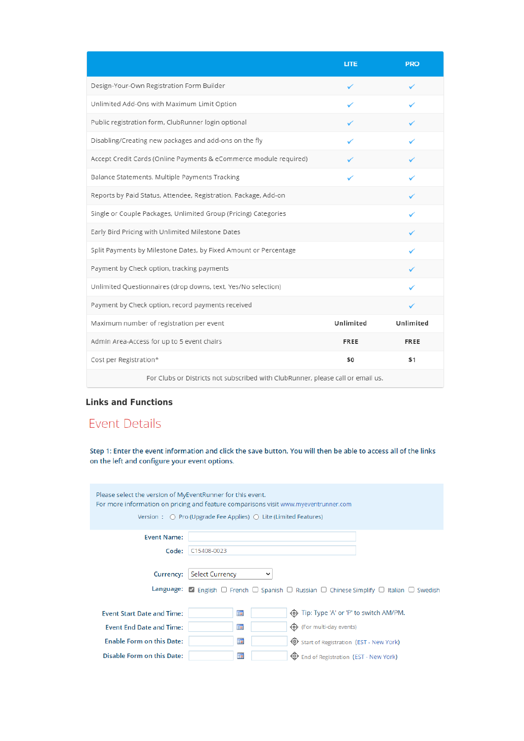|                                                                                 | <b>LITE</b> | <b>PRO</b>  |
|---------------------------------------------------------------------------------|-------------|-------------|
| Design-Your-Own Registration Form Builder                                       | ✓           |             |
| Unlimited Add-Ons with Maximum Limit Option                                     |             |             |
| Public registration form, ClubRunner login optional                             |             |             |
| Disabling/Creating new packages and add-ons on the fly                          |             |             |
| Accept Credit Cards (Online Payments & eCommerce module required)               |             |             |
| Balance Statements, Multiple Payments Tracking                                  |             |             |
| Reports by Paid Status, Attendee, Registration, Package, Add-on                 |             |             |
| Single or Couple Packages, Unlimited Group (Pricing) Categories                 |             |             |
| Early Bird Pricing with Unlimited Milestone Dates                               |             |             |
| Split Payments by Milestone Dates, by Fixed Amount or Percentage                |             |             |
| Payment by Check option, tracking payments                                      |             |             |
| Unlimited Questionnaires (drop downs, text, Yes/No selection)                   |             |             |
| Payment by Check option, record payments received                               |             |             |
| Maximum number of registration per event                                        | Unlimited   | Unlimited   |
| Admin Area-Access for up to 5 event chairs                                      | <b>FREE</b> | <b>FREE</b> |
| Cost per Registration*                                                          | \$0         | \$1         |
| For Clubs or Districts not subscribed with ClubRunner, please call or email us. |             |             |

## **Links and Functions**

## **Event Details**

Step 1: Enter the event information and click the save button. You will then be able to access all of the links on the left and configure your event options.

| Please select the version of MyEventRunner for this event.<br>For more information on pricing and feature comparisons visit www.myeventrunner.com<br>Version : $\bigcirc$ Pro (Upgrade Fee Applies) $\bigcirc$ Lite (Limited Features) |                                                                                                                                                        |  |  |  |
|----------------------------------------------------------------------------------------------------------------------------------------------------------------------------------------------------------------------------------------|--------------------------------------------------------------------------------------------------------------------------------------------------------|--|--|--|
| <b>Event Name:</b>                                                                                                                                                                                                                     |                                                                                                                                                        |  |  |  |
| Code:                                                                                                                                                                                                                                  | C15408-0023                                                                                                                                            |  |  |  |
| Currency:                                                                                                                                                                                                                              | <b>Select Currency</b><br><b>Language:</b> 2 English $\Box$ French $\Box$ Spanish $\Box$ Russian $\Box$ Chinese Simplify $\Box$ Italian $\Box$ Swedish |  |  |  |
| <b>Event Start Date and Time:</b>                                                                                                                                                                                                      | ▦<br><b>ID</b> Tip: Type 'A' or 'P' to switch AM/PM.                                                                                                   |  |  |  |
| <b>Event End Date and Time:</b>                                                                                                                                                                                                        | ▦<br>(For multi-day events)                                                                                                                            |  |  |  |
| <b>Enable Form on this Date:</b>                                                                                                                                                                                                       | ד<br><b>Start of Registration (EST - New York)</b>                                                                                                     |  |  |  |
| Disable Form on this Date:                                                                                                                                                                                                             | 圜<br><b>ED</b> End of Registration (EST - New York)                                                                                                    |  |  |  |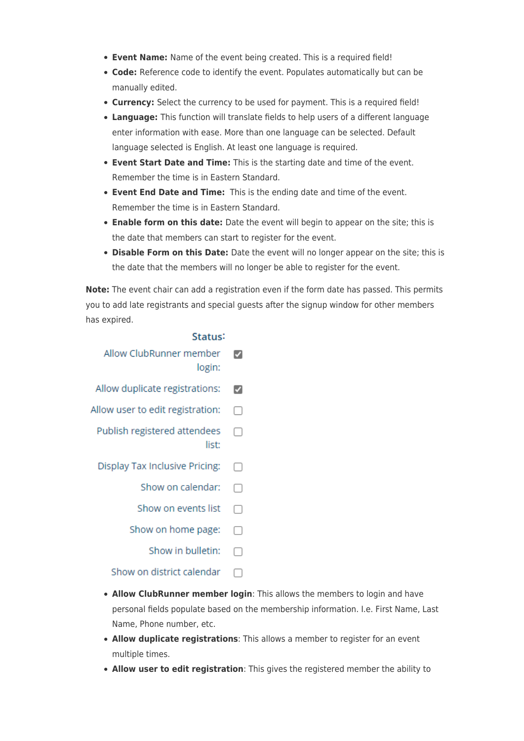- **Event Name:** Name of the event being created. This is a required field!
- **Code:** Reference code to identify the event. Populates automatically but can be manually edited.
- **Currency:** Select the currency to be used for payment. This is a required field!
- **Language:** This function will translate fields to help users of a different language enter information with ease. More than one language can be selected. Default language selected is English. At least one language is required.
- **Event Start Date and Time:** This is the starting date and time of the event. Remember the time is in Eastern Standard.
- **Event End Date and Time:** This is the ending date and time of the event. Remember the time is in Eastern Standard.
- **Enable form on this date:** Date the event will begin to appear on the site; this is the date that members can start to register for the event.
- **Disable Form on this Date:** Date the event will no longer appear on the site; this is the date that the members will no longer be able to register for the event.

**Note:** The event chair can add a registration even if the form date has passed. This permits you to add late registrants and special guests after the signup window for other members has expired.

|        | Allow ClubRunner member<br>login:     |
|--------|---------------------------------------|
| ✔      | Allow duplicate registrations:        |
| H      | Allow user to edit registration:      |
|        | Publish registered attendees<br>list: |
| n.     | Display Tax Inclusive Pricing:        |
| $\Box$ | Show on calendar:                     |
|        | Show on events list                   |
| $\Box$ | Show on home page:                    |
|        | Show in bulletin:                     |
|        | Show on district calendar             |

- **Allow ClubRunner member login**: This allows the members to login and have personal fields populate based on the membership information. I.e. First Name, Last Name, Phone number, etc.
- **Allow duplicate registrations**: This allows a member to register for an event multiple times.
- **Allow user to edit registration**: This gives the registered member the ability to

## Status: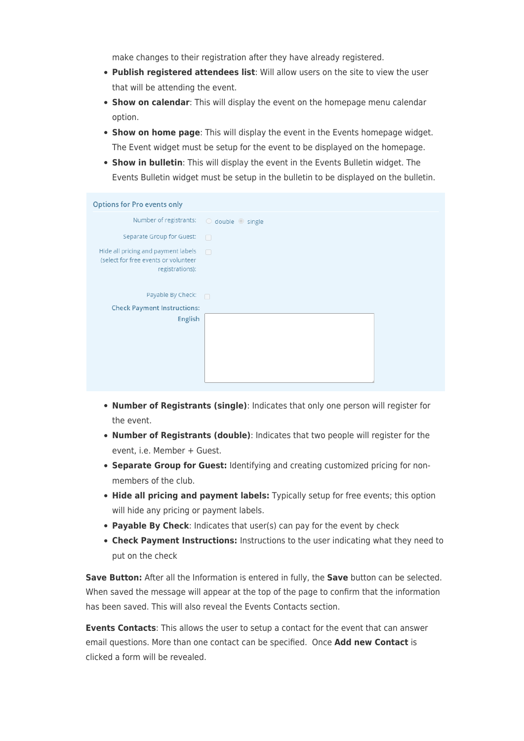make changes to their registration after they have already registered.

- **Publish registered attendees list**: Will allow users on the site to view the user that will be attending the event.
- **Show on calendar**: This will display the event on the homepage menu calendar option.
- **Show on home page**: This will display the event in the Events homepage widget. The Event widget must be setup for the event to be displayed on the homepage.
- **Show in bulletin**: This will display the event in the Events Bulletin widget. The Events Bulletin widget must be setup in the bulletin to be displayed on the bulletin.

| <b>Options for Pro events only</b>                                                             |                               |  |  |  |
|------------------------------------------------------------------------------------------------|-------------------------------|--|--|--|
| Number of registrants:                                                                         | $\circ$ double $\circ$ single |  |  |  |
| Separate Group for Guest:                                                                      | $\Box$                        |  |  |  |
| Hide all pricing and payment labels<br>(select for free events or volunteer<br>registrations): | $\Box$                        |  |  |  |
| Payable By Check:                                                                              | $\Box$                        |  |  |  |
| <b>Check Payment Instructions:</b>                                                             |                               |  |  |  |
| English                                                                                        |                               |  |  |  |

- **Number of Registrants (single)**: Indicates that only one person will register for the event.
- **Number of Registrants (double)**: Indicates that two people will register for the event, i.e. Member + Guest.
- **Separate Group for Guest:** Identifying and creating customized pricing for nonmembers of the club.
- **Hide all pricing and payment labels:** Typically setup for free events; this option will hide any pricing or payment labels.
- **Payable By Check**: Indicates that user(s) can pay for the event by check
- **Check Payment Instructions:** Instructions to the user indicating what they need to put on the check

**Save Button:** After all the Information is entered in fully, the **Save** button can be selected. When saved the message will appear at the top of the page to confirm that the information has been saved. This will also reveal the Events Contacts section.

**Events Contacts**: This allows the user to setup a contact for the event that can answer email questions. More than one contact can be specified. Once **Add new Contact** is clicked a form will be revealed.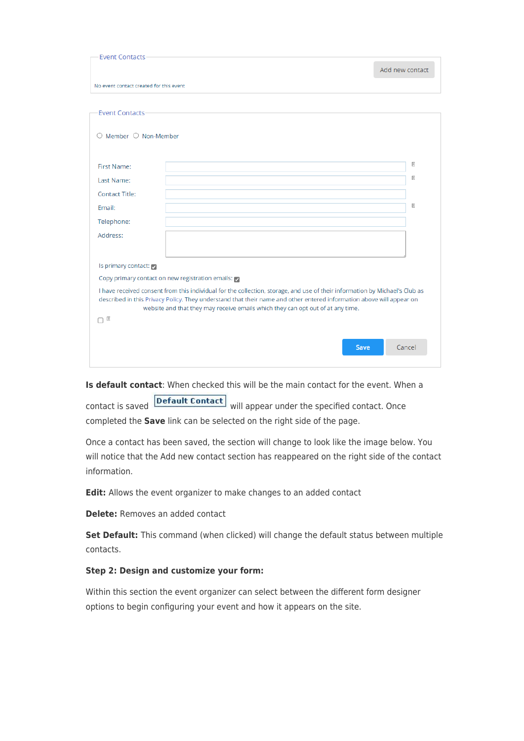| <b>Event Contacts</b>                            |                                                                                                                                                                                                                                                                                                                                        |
|--------------------------------------------------|----------------------------------------------------------------------------------------------------------------------------------------------------------------------------------------------------------------------------------------------------------------------------------------------------------------------------------------|
|                                                  | Add new contact                                                                                                                                                                                                                                                                                                                        |
| No event contact created for this event          |                                                                                                                                                                                                                                                                                                                                        |
|                                                  |                                                                                                                                                                                                                                                                                                                                        |
| <b>Event Contacts</b>                            |                                                                                                                                                                                                                                                                                                                                        |
| $\bigcirc$ Member $\bigcirc$ Non-Member          |                                                                                                                                                                                                                                                                                                                                        |
|                                                  |                                                                                                                                                                                                                                                                                                                                        |
| First Name:                                      | $\mathbb R$                                                                                                                                                                                                                                                                                                                            |
| Last Name:                                       | R                                                                                                                                                                                                                                                                                                                                      |
| <b>Contact Title:</b>                            |                                                                                                                                                                                                                                                                                                                                        |
| Email:                                           | $\mathbb R$                                                                                                                                                                                                                                                                                                                            |
| Telephone:                                       |                                                                                                                                                                                                                                                                                                                                        |
| Address:                                         |                                                                                                                                                                                                                                                                                                                                        |
|                                                  |                                                                                                                                                                                                                                                                                                                                        |
| Is primary contact:                              |                                                                                                                                                                                                                                                                                                                                        |
| Copy primary contact on new registration emails: |                                                                                                                                                                                                                                                                                                                                        |
|                                                  | I have received consent from this individual for the collection, storage, and use of their information by Michael's Club as<br>described in this Privacy Policy. They understand that their name and other entered information above will appear on<br>website and that they may receive emails which they can opt out of at any time. |
| ∩ R                                              |                                                                                                                                                                                                                                                                                                                                        |
|                                                  | Cancel<br><b>Save</b>                                                                                                                                                                                                                                                                                                                  |

**Is default contact**: When checked this will be the main contact for the event. When a

contact is saved **Default Contact** will appear under the specified contact. Once completed the **Save** link can be selected on the right side of the page.

Once a contact has been saved, the section will change to look like the image below. You will notice that the Add new contact section has reappeared on the right side of the contact information.

**Edit:** Allows the event organizer to make changes to an added contact

**Delete:** Removes an added contact

**Set Default:** This command (when clicked) will change the default status between multiple contacts.

## **Step 2: Design and customize your form:**

Within this section the event organizer can select between the different form designer options to begin configuring your event and how it appears on the site.